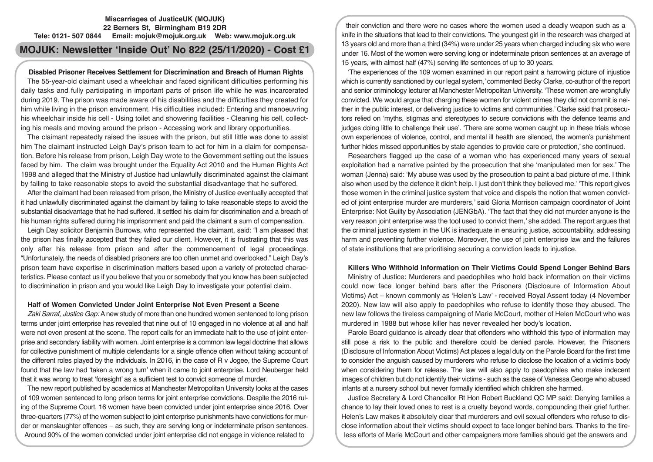# **Miscarriages of JusticeUK (MOJUK) 22 Berners St, Birmingham B19 2DR Tele: 0121- 507 0844 Email: mojuk@mojuk.org.uk Web: www.mojuk.org.uk**

# **MOJUK: Newsletter 'Inside Out' No 822 (25/11/2020) - Cost £1**

# **Disabled Prisoner Receives Settlement for Discrimination and Breach of Human Rights**

The 55-year-old claimant used a wheelchair and faced significant difficulties performing his daily tasks and fully participating in important parts of prison life while he was incarcerated during 2019. The prison was made aware of his disabilities and the difficulties they created for him while living in the prison environment. His difficulties included: Entering and manoeuvring his wheelchair inside his cell - Using toilet and showering facilities - Cleaning his cell, collecting his meals and moving around the prison - Accessing work and library opportunities.

The claimant repeatedly raised the issues with the prison, but still little was done to assist him The claimant instructed Leigh Day's prison team to act for him in a claim for compensation. Before his release from prison, Leigh Day wrote to the Government setting out the issues faced by him. The claim was brought under the Equality Act 2010 and the Human Rights Act 1998 and alleged that the Ministry of Justice had unlawfully discriminated against the claimant by failing to take reasonable steps to avoid the substantial disadvantage that he suffered.

After the claimant had been released from prison, the Ministry of Justice eventually accepted that it had unlawfully discriminated against the claimant by failing to take reasonable steps to avoid the substantial disadvantage that he had suffered. It settled his claim for discrimination and a breach of his human rights suffered during his imprisonment and paid the claimant a sum of compensation.

Leigh Day solicitor Benjamin Burrows, who represented the claimant, said: "I am pleased that the prison has finally accepted that they failed our client. However, it is frustrating that this was only after his release from prison and after the commencement of legal proceedings. "Unfortunately, the needs of disabled prisoners are too often unmet and overlooked." Leigh Day's prison team have expertise in discrimination matters based upon a variety of protected characteristics. Please contact us if you believe that you or somebody that you know has been subjected to discrimination in prison and you would like Leigh Day to investigate your potential claim.

## **Half of Women Convicted Under Joint Enterprise Not Even Present a Scene**

*Zaki Sarraf, Justice Gap:* A new study of more than one hundred women sentenced to long prison terms under joint enterprise has revealed that nine out of 10 engaged in no violence at all and half were not even present at the scene. The report calls for an immediate halt to the use of joint enterprise and secondary liability with women. Joint enterprise is a common law legal doctrine that allows for collective punishment of multiple defendants for a single offence often without taking account of the different roles played by the individuals. In 2016, in the case of R v Jogee, the Supreme Court found that the law had 'taken a wrong turn' when it came to joint enterprise. Lord Neuberger held that it was wrong to treat 'foresight' as a sufficient test to convict someone of murder.

The new report published by academics at Manchester Metropolitan University looks at the cases of 109 women sentenced to long prison terms for joint enterprise convictions. Despite the 2016 ruling of the Supreme Court, 16 women have been convicted under joint enterprise since 2016. Over three-quarters (77%) of the women subject to joint enterprise punishments have convictions for murder or manslaughter offences – as such, they are serving long or indeterminate prison sentences. Around 90% of the women convicted under joint enterprise did not engage in violence related to

their conviction and there were no cases where the women used a deadly weapon such as a knife in the situations that lead to their convictions. The youngest girl in the research was charged at 13 years old and more than a third (34%) were under 25 years when charged including six who were under 16. Most of the women were serving long or indeterminate prison sentences at an average of 15 years, with almost half (47%) serving life sentences of up to 30 years.

'The experiences of the 109 women examined in our report paint a harrowing picture of injustice which is currently sanctioned by our legal system,' commented Becky Clarke, co-author of the report and senior criminology lecturer at Manchester Metropolitan University. 'These women are wrongfully convicted. We would argue that charging these women for violent crimes they did not commit is neither in the public interest, or delivering justice to victims and communities.' Clarke said that prosecutors relied on 'myths, stigmas and stereotypes to secure convictions with the defence teams and judges doing little to challenge their use'. 'There are some women caught up in these trials whose own experiences of violence, control, and mental ill health are silenced, the women's punishment further hides missed opportunities by state agencies to provide care or protection,' she continued.

Researchers flagged up the case of a woman who has experienced many years of sexual exploitation had a narrative painted by the prosecution that she 'manipulated men for sex.' The woman (Jenna) said: 'My abuse was used by the prosecution to paint a bad picture of me. I think also when used by the defence it didn't help. I just don't think they believed me.' 'This report gives those women in the criminal justice system that voice and dispels the notion that women convicted of joint enterprise murder are murderers,' said Gloria Morrison campaign coordinator of Joint Enterprise: Not Guilty by Association (JENGbA). 'The fact that they did not murder anyone is the very reason joint enterprise was the tool used to convict them,' she added. The report argues that the criminal justice system in the UK is inadequate in ensuring justice, accountability, addressing harm and preventing further violence. Moreover, the use of joint enterprise law and the failures of state institutions that are prioritising securing a conviction leads to injustice.

# **Killers Who Withhold Information on Their Victims Could Spend Longer Behind Bars**

Ministry of Justice: Murderers and paedophiles who hold back information on their victims could now face longer behind bars after the Prisoners (Disclosure of Information About Victims) Act – known commonly as 'Helen's Law' - received Royal Assent today (4 November 2020). New law will also apply to paedophiles who refuse to identify those they abused. The new law follows the tireless campaigning of Marie McCourt, mother of Helen McCourt who was murdered in 1988 but whose killer has never revealed her body's location.

Parole Board guidance is already clear that offenders who withhold this type of information may still pose a risk to the public and therefore could be denied parole. However, the Prisoners (Disclosure of Information About Victims) Act places a legal duty on the Parole Board for the first time to consider the anguish caused by murderers who refuse to disclose the location of a victim's body when considering them for release. The law will also apply to paedophiles who make indecent images of children but do not identify their victims - such as the case of Vanessa George who abused infants at a nursery school but never formally identified which children she harmed.

Justice Secretary & Lord Chancellor Rt Hon Robert Buckland QC MP said: Denying families a chance to lay their loved ones to rest is a cruelty beyond words, compounding their grief further. Helen's Law makes it absolutely clear that murderers and evil sexual offenders who refuse to disclose information about their victims should expect to face longer behind bars. Thanks to the tireless efforts of Marie McCourt and other campaigners more families should get the answers and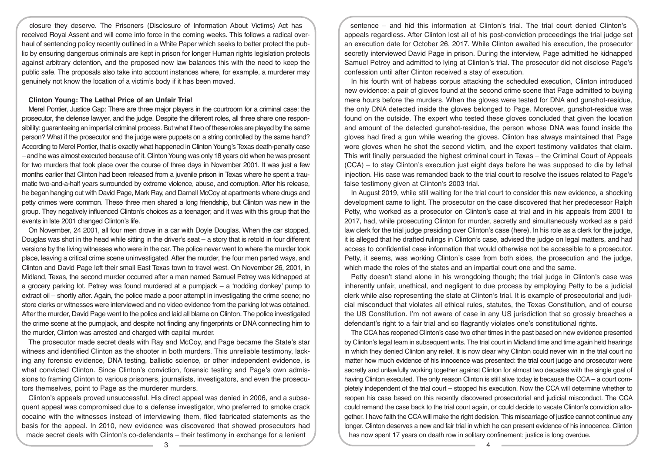closure they deserve. The Prisoners (Disclosure of Information About Victims) Act has received Royal Assent and will come into force in the coming weeks. This follows a radical overhaul of sentencing policy recently outlined in a White Paper which seeks to better protect the public by ensuring dangerous criminals are kept in prison for longer Human rights legislation protects against arbitrary detention, and the proposed new law balances this with the need to keep the public safe. The proposals also take into account instances where, for example, a murderer may genuinely not know the location of a victim's body if it has been moved.

## **Clinton Young: The Lethal Price of an Unfair Trial**

Merel Pontier, Justice Gap: There are three major players in the courtroom for a criminal case: the prosecutor, the defense lawyer, and the judge. Despite the different roles, all three share one responsibility: guaranteeing an impartial criminal process. But what if two of these roles are played by the same person? What if the prosecutor and the judge were puppets on a string controlled by the same hand? According to Merel Pontier, that is exactly what happened in Clinton Young's Texas death-penalty case – and he was almost executed because of it. Clinton Young was only 18 years old when he was present for two murders that took place over the course of three days in November 2001. It was just a few months earlier that Clinton had been released from a juvenile prison in Texas where he spent a traumatic two-and-a-half years surrounded by extreme violence, abuse, and corruption. After his release, he began hanging out with David Page, Mark Ray, and Darnell McCoy at apartments where drugs and petty crimes were common. These three men shared a long friendship, but Clinton was new in the group. They negatively influenced Clinton's choices as a teenager; and it was with this group that the events in late 2001 changed Clinton's life.

On November, 24 2001, all four men drove in a car with Doyle Douglas. When the car stopped, Douglas was shot in the head while sitting in the driver's seat – a story that is retold in four different versions by the living witnesses who were in the car. The police never went to where the murder took place, leaving a critical crime scene uninvestigated. After the murder, the four men parted ways, and Clinton and David Page left their small East Texas town to travel west. On November 26, 2001, in Midland, Texas, the second murder occurred after a man named Samuel Petrey was kidnapped at a grocery parking lot. Petrey was found murdered at a pumpjack – a 'nodding donkey' pump to extract oil – shortly after. Again, the police made a poor attempt in investigating the crime scene; no store clerks or witnesses were interviewed and no video evidence from the parking lot was obtained. After the murder, David Page went to the police and laid all blame on Clinton. The police investigated the crime scene at the pumpjack, and despite not finding any fingerprints or DNA connecting him to the murder, Clinton was arrested and charged with capital murder.

The prosecutor made secret deals with Ray and McCoy, and Page became the State's star witness and identified Clinton as the shooter in both murders. This unreliable testimony, lacking any forensic evidence, DNA testing, ballistic science, or other independent evidence, is what convicted Clinton. Since Clinton's conviction, forensic testing and Page's own admissions to framing Clinton to various prisoners, journalists, investigators, and even the prosecutors themselves, point to Page as the murderer murders.

Clinton's appeals proved unsuccessful. His direct appeal was denied in 2006, and a subsequent appeal was compromised due to a defense investigator, who preferred to smoke crack cocaine with the witnesses instead of interviewing them, filed fabricated statements as the basis for the appeal. In 2010, new evidence was discovered that showed prosecutors had made secret deals with Clinton's co-defendants – their testimony in exchange for a lenient

sentence – and hid this information at Clinton's trial. The trial court denied Clinton's appeals regardless. After Clinton lost all of his post-conviction proceedings the trial judge set an execution date for October 26, 2017. While Clinton awaited his execution, the prosecutor secretly interviewed David Page in prison. During the interview, Page admitted he kidnapped Samuel Petrey and admitted to lying at Clinton's trial. The prosecutor did not disclose Page's confession until after Clinton received a stay of execution.

In his fourth writ of habeas corpus attacking the scheduled execution, Clinton introduced new evidence: a pair of gloves found at the second crime scene that Page admitted to buying mere hours before the murders. When the gloves were tested for DNA and gunshot-residue, the only DNA detected inside the gloves belonged to Page. Moreover, gunshot-residue was found on the outside. The expert who tested these gloves concluded that given the location and amount of the detected gunshot-residue, the person whose DNA was found inside the gloves had fired a gun while wearing the gloves. Clinton has always maintained that Page wore gloves when he shot the second victim, and the expert testimony validates that claim. This writ finally persuaded the highest criminal court in Texas – the Criminal Court of Appeals (CCA) – to stay Clinton's execution just eight days before he was supposed to die by lethal injection. His case was remanded back to the trial court to resolve the issues related to Page's false testimony given at Clinton's 2003 trial.

In August 2019, while still waiting for the trial court to consider this new evidence, a shocking development came to light. The prosecutor on the case discovered that her predecessor Ralph Petty, who worked as a prosecutor on Clinton's case at trial and in his appeals from 2001 to 2017, had, while prosecuting Clinton for murder, secretly and simultaneously worked as a paid law clerk for the trial judge presiding over Clinton's case (here). In his role as a clerk for the judge, it is alleged that he drafted rulings in Clinton's case, advised the judge on legal matters, and had access to confidential case information that would otherwise not be accessible to a prosecutor. Petty, it seems, was working Clinton's case from both sides, the prosecution and the judge, which made the roles of the states and an impartial court one and the same.

Petty doesn't stand alone in his wrongdoing though; the trial judge in Clinton's case was inherently unfair, unethical, and negligent to due process by employing Petty to be a judicial clerk while also representing the state at Clinton's trial. It is example of prosecutorial and judicial misconduct that violates all ethical rules, statutes, the Texas Constitution, and of course the US Constitution. I'm not aware of case in any US jurisdiction that so grossly breaches a defendant's right to a fair trial and so flagrantly violates one's constitutional rights.

The CCA has reopened Clinton's case two other times in the past based on new evidence presented by Clinton's legal team in subsequent writs. The trial court in Midland time and time again held hearings in which they denied Clinton any relief. It is now clear why Clinton could never win in the trial court no matter how much evidence of his innocence was presented: the trial court judge and prosecutor were secretly and unlawfully working together against Clinton for almost two decades with the single goal of having Clinton executed. The only reason Clinton is still alive today is because the CCA – a court completely independent of the trial court – stopped his execution. Now the CCA will determine whether to reopen his case based on this recently discovered prosecutorial and judicial misconduct. The CCA could remand the case back to the trial court again, or could decide to vacate Clinton's conviction altogether. I have faith the CCA will make the right decision. This miscarriage of justice cannot continue any longer. Clinton deserves a new and fair trial in which he can present evidence of his innocence. Clinton has now spent 17 years on death row in solitary confinement; justice is long overdue.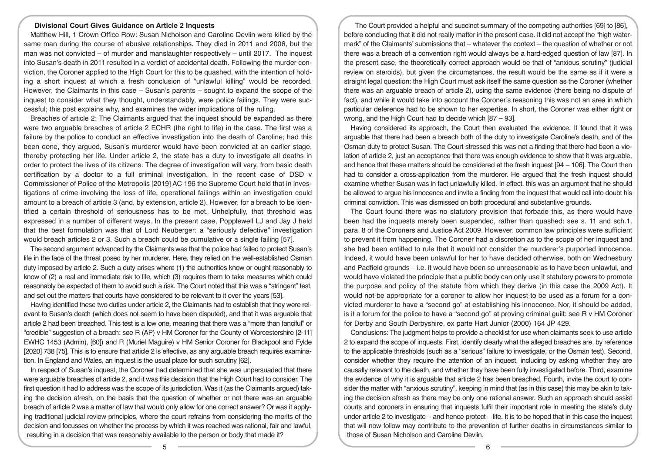#### **Divisional Court Gives Guidance on Article 2 Inquests**

Matthew Hill, 1 Crown Office Row: Susan Nicholson and Caroline Devlin were killed by the same man during the course of abusive relationships. They died in 2011 and 2006, but the man was not convicted – of murder and manslaughter respectively – until 2017. The inquest into Susan's death in 2011 resulted in a verdict of accidental death. Following the murder conviction, the Coroner applied to the High Court for this to be quashed, with the intention of holding a short inquest at which a fresh conclusion of "unlawful killing" would be recorded. However, the Claimants in this case – Susan's parents – sought to expand the scope of the inquest to consider what they thought, understandably, were police failings. They were successful; this post explains why, and examines the wider implications of the ruling.

Breaches of article 2: The Claimants argued that the inquest should be expanded as there were two arguable breaches of article 2 ECHR (the right to life) in the case. The first was a failure by the police to conduct an effective investigation into the death of Caroline; had this been done, they argued, Susan's murderer would have been convicted at an earlier stage, thereby protecting her life. Under article 2, the state has a duty to investigate all deaths in order to protect the lives of its citizens. The degree of investigation will vary, from basic death certification by a doctor to a full criminal investigation. In the recent case of DSD v Commissioner of Police of the Metropolis [2019] AC 196 the Supreme Court held that in investigations of crime involving the loss of life, operational failings within an investigation could amount to a breach of article 3 (and, by extension, article 2). However, for a breach to be identified a certain threshold of seriousness has to be met. Unhelpfully, that threshold was expressed in a number of different ways. In the present case, Popplewell LJ and Jay J held that the best formulation was that of Lord Neuberger: a "seriously defective" investigation would breach articles 2 or 3. Such a breach could be cumulative or a single failing [57].

The second argument advanced by the Claimants was that the police had failed to protect Susan's life in the face of the threat posed by her murderer. Here, they relied on the well-established Osman duty imposed by article 2. Such a duty arises where (1) the authorities know or ought reasonably to know of (2) a real and immediate risk to life, which (3) requires them to take measures which could reasonably be expected of them to avoid such a risk. The Court noted that this was a "stringent" test, and set out the matters that courts have considered to be relevant to it over the years [53].

Having identified these two duties under article 2, the Claimants had to establish that they were relevant to Susan's death (which does not seem to have been disputed), and that it was arguable that article 2 had been breached. This test is a low one, meaning that there was a "more than fanciful" or "credible" suggestion of a breach: see R (AP) v HM Coroner for the County of Worcestershire [2-11] EWHC 1453 (Admin), [60]) and R (Muriel Maguire) v HM Senior Coroner for Blackpool and Fylde [2020] 738 [75]. This is to ensure that article 2 is effective, as any arguable breach requires examination. In England and Wales, an inquest is the usual place for such scrutiny [62].

In respect of Susan's inquest, the Coroner had determined that she was unpersuaded that there were arguable breaches of article 2, and it was this decision that the High Court had to consider. The first question it had to address was the scope of its jurisdiction. Was it (as the Claimants argued) taking the decision afresh, on the basis that the question of whether or not there was an arguable breach of article 2 was a matter of law that would only allow for one correct answer? Or was it applying traditional judicial review principles, where the court refrains from considering the merits of the decision and focusses on whether the process by which it was reached was rational, fair and lawful, resulting in a decision that was reasonably available to the person or body that made it?

The Court provided a helpful and succinct summary of the competing authorities [69] to [86], before concluding that it did not really matter in the present case. It did not accept the "high watermark" of the Claimants' submissions that – whatever the context – the question of whether or not there was a breach of a convention right would always be a hard-edged question of law [87]. In the present case, the theoretically correct approach would be that of "anxious scrutiny" (judicial review on steroids), but given the circumstances, the result would be the same as if it were a straight legal question: the High Court must ask itself the same question as the Coroner (whether there was an arguable breach of article 2), using the same evidence (there being no dispute of fact), and while it would take into account the Coroner's reasoning this was not an area in which particular deference had to be shown to her expertise. In short, the Coroner was either right or wrong, and the High Court had to decide which [87 – 93].

Having considered its approach, the Court then evaluated the evidence. It found that it was arguable that there had been a breach both of the duty to investigate Caroline's death, and of the Osman duty to protect Susan. The Court stressed this was not a finding that there had been a violation of article 2, just an acceptance that there was enough evidence to show that it was arguable, and hence that these matters should be considered at the fresh inquest [94 – 106]. The Court then had to consider a cross-application from the murderer. He argued that the fresh inquest should examine whether Susan was in fact unlawfully killed. In effect, this was an argument that he should be allowed to argue his innocence and invite a finding from the inquest that would call into doubt his criminal conviction. This was dismissed on both procedural and substantive grounds.

The Court found there was no statutory provision that forbade this, as there would have been had the inquests merely been suspended, rather than quashed: see s. 11 and sch.1, para. 8 of the Coroners and Justice Act 2009. However, common law principles were sufficient to prevent it from happening. The Coroner had a discretion as to the scope of her inquest and she had been entitled to rule that it would not consider the murderer's purported innocence. Indeed, it would have been unlawful for her to have decided otherwise, both on Wednesbury and Padfield grounds – i.e. it would have been so unreasonable as to have been unlawful, and would have violated the principle that a public body can only use it statutory powers to promote the purpose and policy of the statute from which they derive (in this case the 2009 Act). It would not be appropriate for a coroner to allow her inquest to be used as a forum for a convicted murderer to have a "second go" at establishing his innocence. Nor, it should be added, is it a forum for the police to have a "second go" at proving criminal guilt: see R v HM Coroner for Derby and South Derbyshire, ex parte Hart Junior (2000) 164 JP 429.

Conclusions: The judgment helps to provide a checklist for use when claimants seek to use article 2 to expand the scope of inquests. First, identify clearly what the alleged breaches are, by reference to the applicable thresholds (such as a "serious" failure to investigate, or the Osman test). Second, consider whether they require the attention of an inquest, including by asking whether they are causally relevant to the death, and whether they have been fully investigated before. Third, examine the evidence of why it is arguable that article 2 has been breached. Fourth, invite the court to consider the matter with "anxious scrutiny", keeping in mind that (as in this case) this may be akin to taking the decision afresh as there may be only one rational answer. Such an approach should assist courts and coroners in ensuring that inquests fulfil their important role in meeting the state's duty under article 2 to investigate – and hence protect – life. It is to be hoped that in this case the inquest that will now follow may contribute to the prevention of further deaths in circumstances similar to those of Susan Nicholson and Caroline Devlin.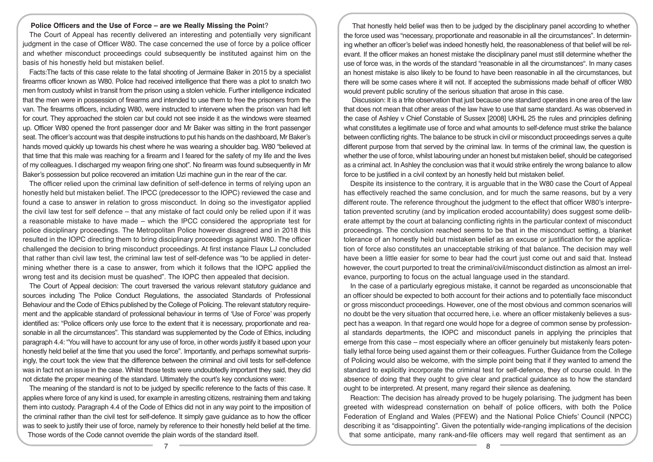## **Police Officers and the Use of Force – are we Really Missing the Poin**t?

The Court of Appeal has recently delivered an interesting and potentially very significant judgment in the case of Officer W80. The case concerned the use of force by a police officer and whether misconduct proceedings could subsequently be instituted against him on the basis of his honestly held but mistaken belief.

Facts:The facts of this case relate to the fatal shooting of Jermaine Baker in 2015 by a specialist firearms officer known as W80. Police had received intelligence that there was a plot to snatch two men from custody whilst in transit from the prison using a stolen vehicle. Further intelligence indicated that the men were in possession of firearms and intended to use them to free the prisoners from the van. The firearms officers, including W80, were instructed to intervene when the prison van had left for court. They approached the stolen car but could not see inside it as the windows were steamed up. Officer W80 opened the front passenger door and Mr Baker was sitting in the front passenger seat. The officer's account was that despite instructions to put his hands on the dashboard, Mr Baker's hands moved quickly up towards his chest where he was wearing a shoulder bag. W80 "believed at that time that this male was reaching for a firearm and I feared for the safety of my life and the lives of my colleagues. I discharged my weapon firing one shot". No firearm was found subsequently in Mr Baker's possession but police recovered an imitation Uzi machine gun in the rear of the car.

The officer relied upon the criminal law definition of self-defence in terms of relying upon an honestly held but mistaken belief. The IPCC (predecessor to the IOPC) reviewed the case and found a case to answer in relation to gross misconduct. In doing so the investigator applied the civil law test for self defence – that any mistake of fact could only be relied upon if it was a reasonable mistake to have made – which the IPCC considered the appropriate test for police disciplinary proceedings. The Metropolitan Police however disagreed and in 2018 this resulted in the IOPC directing them to bring disciplinary proceedings against W80. The officer challenged the decision to bring misconduct proceedings. At first instance Flaux LJ concluded that rather than civil law test, the criminal law test of self-defence was "to be applied in determining whether there is a case to answer, from which it follows that the IOPC applied the wrong test and its decision must be quashed". The IOPC then appealed that decision.

The Court of Appeal decision: The court traversed the various relevant statutory guidance and sources including The Police Conduct Regulations, the associated Standards of Professional Behaviour and the Code of Ethics published by the College of Policing. The relevant statutory requirement and the applicable standard of professional behaviour in terms of 'Use of Force' was properly identified as: "Police officers only use force to the extent that it is necessary, proportionate and reasonable in all the circumstances". This standard was supplemented by the Code of Ethics, including paragraph 4.4: "You will have to account for any use of force, in other words justify it based upon your honestly held belief at the time that you used the force". Importantly, and perhaps somewhat surprisingly, the court took the view that the difference between the criminal and civil tests for self-defence was in fact not an issue in the case. Whilst those tests were undoubtedly important they said, they did not dictate the proper meaning of the standard. Ultimately the court's key conclusions were:

The meaning of the standard is not to be judged by specific reference to the facts of this case. It applies where force of any kind is used, for example in arresting citizens, restraining them and taking them into custody. Paragraph 4.4 of the Code of Ethics did not in any way point to the imposition of the criminal rather than the civil test for self-defence. It simply gave guidance as to how the officer was to seek to justify their use of force, namely by reference to their honestly held belief at the time. Those words of the Code cannot override the plain words of the standard itself.

That honestly held belief was then to be judged by the disciplinary panel according to whether the force used was "necessary, proportionate and reasonable in all the circumstances". In determining whether an officer's belief was indeed honestly held, the reasonableness of that belief will be relevant. If the officer makes an honest mistake the disciplinary panel must still determine whether the use of force was, in the words of the standard "reasonable in all the circumstances". In many cases an honest mistake is also likely to be found to have been reasonable in all the circumstances, but there will be some cases where it will not. If accepted the submissions made behalf of officer W80 would prevent public scrutiny of the serious situation that arose in this case.

 Discussion: It is a trite observation that just because one standard operates in one area of the law that does not mean that other areas of the law have to use that same standard. As was observed in the case of Ashley v Chief Constable of Sussex [2008] UKHL 25 the rules and principles defining what constitutes a legitimate use of force and what amounts to self-defence must strike the balance between conflicting rights. The balance to be struck in civil or misconduct proceedings serves a quite different purpose from that served by the criminal law. In terms of the criminal law, the question is whether the use of force, whilst labouring under an honest but mistaken belief, should be categorised as a criminal act. In Ashley the conclusion was that it would strike entirely the wrong balance to allow force to be justified in a civil context by an honestly held but mistaken belief.

Despite its insistence to the contrary, it is arguable that in the W80 case the Court of Appeal has effectively reached the same conclusion, and for much the same reasons, but by a very different route. The reference throughout the judgment to the effect that officer W80's interpretation prevented scrutiny (and by implication eroded accountability) does suggest some deliberate attempt by the court at balancing conflicting rights in the particular context of misconduct proceedings. The conclusion reached seems to be that in the misconduct setting, a blanket tolerance of an honestly held but mistaken belief as an excuse or justification for the application of force also constitutes an unacceptable striking of that balance. The decision may well have been a little easier for some to bear had the court just come out and said that. Instead however, the court purported to treat the criminal/civil/misconduct distinction as almost an irrelevance, purporting to focus on the actual language used in the standard.

In the case of a particularly egregious mistake, it cannot be regarded as unconscionable that an officer should be expected to both account for their actions and to potentially face misconduct or gross misconduct proceedings. However, one of the most obvious and common scenarios will no doubt be the very situation that occurred here, i.e. where an officer mistakenly believes a suspect has a weapon. In that regard one would hope for a degree of common sense by professional standards departments, the IOPC and misconduct panels in applying the principles that emerge from this case – most especially where an officer genuinely but mistakenly fears potentially lethal force being used against them or their colleagues. Further Guidance from the College of Policing would also be welcome, with the simple point being that if they wanted to amend the standard to explicitly incorporate the criminal test for self-defence, they of course could. In the absence of doing that they ought to give clear and practical guidance as to how the standard ought to be interpreted. At present, many regard their silence as deafening.

Reaction: The decision has already proved to be hugely polarising. The judgment has been greeted with widespread consternation on behalf of police officers, with both the Police Federation of England and Wales (PFEW) and the National Police Chiefs' Council (NPCC) describing it as "disappointing". Given the potentially wide-ranging implications of the decision that some anticipate, many rank-and-file officers may well regard that sentiment as an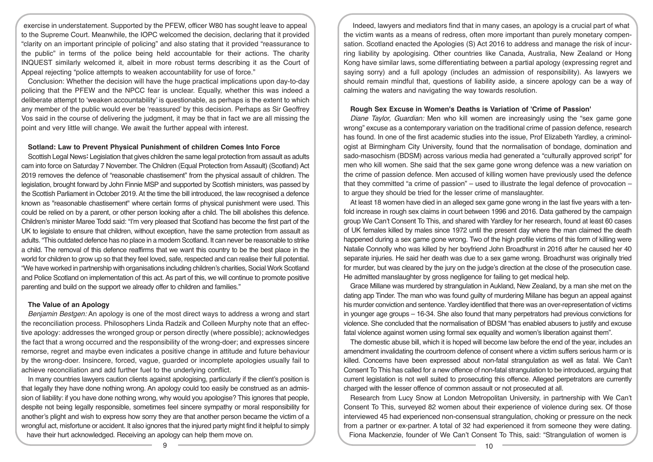exercise in understatement. Supported by the PFEW, officer W80 has sought leave to appeal to the Supreme Court. Meanwhile, the IOPC welcomed the decision, declaring that it provided "clarity on an important principle of policing" and also stating that it provided "reassurance to the public" in terms of the police being held accountable for their actions. The charity INQUEST similarly welcomed it, albeit in more robust terms describing it as the Court of Appeal rejecting "police attempts to weaken accountability for use of force."

Conclusion: Whether the decision will have the huge practical implications upon day-to-day policing that the PFEW and the NPCC fear is unclear. Equally, whether this was indeed a deliberate attempt to 'weaken accountability' is questionable, as perhaps is the extent to which any member of the public would ever be 'reassured' by this decision. Perhaps as Sir Geoffrey Vos said in the course of delivering the judgment, it may be that in fact we are all missing the point and very little will change. We await the further appeal with interest.

## **Sotland: Law to Prevent Physical Punishment of children Comes Into Force**

Scottish Legal News**:** Legislation that gives children the same legal protection from assault as adults cam into force on Saturday 7 November. The Children (Equal Protection from Assault) (Scotland) Act 2019 removes the defence of "reasonable chastisement" from the physical assault of children. The legislation, brought forward by John Finnie MSP and supported by Scottish ministers, was passed by the Scottish Parliament in October 2019. At the time the bill introduced, the law recognised a defence known as "reasonable chastisement" where certain forms of physical punishment were used. This could be relied on by a parent, or other person looking after a child. The bill abolishes this defence. Children's minister Maree Todd said: "I'm very pleased that Scotland has become the first part of the UK to legislate to ensure that children, without exception, have the same protection from assault as adults. "This outdated defence has no place in a modern Scotland. It can never be reasonable to strike a child. The removal of this defence reaffirms that we want this country to be the best place in the world for children to grow up so that they feel loved, safe, respected and can realise their full potential. "We have worked in partnership with organisations including children's charities, Social Work Scotland and Police Scotland on implementation of this act. As part of this, we will continue to promote positive parenting and build on the support we already offer to children and families."

## **The Value of an Apology**

*Benjamin Bestgen:* An apology is one of the most direct ways to address a wrong and start the reconciliation process. Philosophers Linda Radzik and Colleen Murphy note that an effective apology: addresses the wronged group or person directly (where possible); acknowledges the fact that a wrong occurred and the responsibility of the wrong-doer; and expresses sincere remorse, regret and maybe even indicates a positive change in attitude and future behaviour by the wrong-doer. Insincere, forced, vague, guarded or incomplete apologies usually fail to achieve reconciliation and add further fuel to the underlying conflict.

In many countries lawyers caution clients against apologising, particularly if the client's position is that legally they have done nothing wrong. An apology could too easily be construed as an admission of liability: if you have done nothing wrong, why would you apologise? This ignores that people, despite not being legally responsible, sometimes feel sincere sympathy or moral responsibility for another's plight and wish to express how sorry they are that another person became the victim of a wrongful act, misfortune or accident. It also ignores that the injured party might find it helpful to simply have their hurt acknowledged. Receiving an apology can help them move on.

Indeed, lawyers and mediators find that in many cases, an apology is a crucial part of what the victim wants as a means of redress, often more important than purely monetary compensation. Scotland enacted the Apologies (S) Act 2016 to address and manage the risk of incurring liability by apologising. Other countries like Canada, Australia, New Zealand or Hong Kong have similar laws, some differentiating between a partial apology (expressing regret and saying sorry) and a full apology (includes an admission of responsibility). As lawyers we should remain mindful that, questions of liability aside, a sincere apology can be a way of calming the waters and navigating the way towards resolution.

## **Rough Sex Excuse in Women's Deaths is Variation of 'Crime of Passion'**

*Diane Taylor, Guardian:* Men who kill women are increasingly using the "sex game gone wrong" excuse as a contemporary variation on the traditional crime of passion defence, research has found. In one of the first academic studies into the issue, Prof Elizabeth Yardley, a criminologist at Birmingham City University, found that the normalisation of bondage, domination and sado-masochism (BDSM) across various media had generated a "culturally approved script" for men who kill women. She said that the sex game gone wrong defence was a new variation on the crime of passion defence. Men accused of killing women have previously used the defence that they committed "a crime of passion" – used to illustrate the legal defence of provocation – to argue they should be tried for the lesser crime of manslaughter.

At least 18 women have died in an alleged sex game gone wrong in the last five years with a tenfold increase in rough sex claims in court between 1996 and 2016. Data gathered by the campaign group We Can't Consent To This, and shared with Yardley for her research, found at least 60 cases of UK females killed by males since 1972 until the present day where the man claimed the death happened during a sex game gone wrong. Two of the high profile victims of this form of killing were Natalie Connolly who was killed by her boyfriend John Broadhurst in 2016 after he caused her 40 separate injuries. He said her death was due to a sex game wrong. Broadhurst was originally tried for murder, but was cleared by the jury on the judge's direction at the close of the prosecution case. He admitted manslaughter by gross negligence for failing to get medical help.

Grace Millane was murdered by strangulation in Aukland, New Zealand, by a man she met on the dating app Tinder. The man who was found guilty of murdering Millane has begun an appeal against his murder conviction and sentence. Yardley identified that there was an over-representation of victims in younger age groups – 16-34. She also found that many perpetrators had previous convictions for violence. She concluded that the normalisation of BDSM "has enabled abusers to justify and excuse fatal violence against women using formal sex equality and women's liberation against them".

The domestic abuse bill, which it is hoped will become law before the end of the year, includes an amendment invalidating the courtroom defence of consent where a victim suffers serious harm or is killed. Concerns have been expressed about non-fatal strangulation as well as fatal. We Can't Consent To This has called for a new offence of non-fatal strangulation to be introduced, arguing that current legislation is not well suited to prosecuting this offence. Alleged perpetrators are currently charged with the lesser offence of common assault or not prosecuted at all.

Research from Lucy Snow at London Metropolitan University, in partnership with We Can't Consent To This, surveyed 82 women about their experience of violence during sex. Of those interviewed 45 had experienced non-consensual strangulation, choking or pressure on the neck from a partner or ex-partner. A total of 32 had experienced it from someone they were dating. Fiona Mackenzie, founder of We Can't Consent To This, said: "Strangulation of women is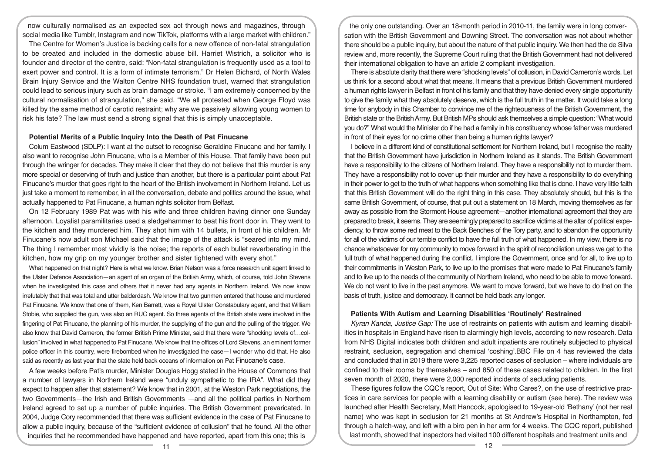now culturally normalised as an expected sex act through news and magazines, through social media like Tumblr, Instagram and now TikTok, platforms with a large market with children."

The Centre for Women's Justice is backing calls for a new offence of non-fatal strangulation to be created and included in the domestic abuse bill. Harriet Wistrich, a solicitor who is founder and director of the centre, said: "Non-fatal strangulation is frequently used as a tool to exert power and control. It is a form of intimate terrorism." Dr Helen Bichard, of North Wales Brain Injury Service and the Walton Centre NHS foundation trust, warned that strangulation could lead to serious injury such as brain damage or stroke. "I am extremely concerned by the cultural normalisation of strangulation," she said. "We all protested when George Floyd was killed by the same method of carotid restraint; why are we passively allowing young women to risk his fate? The law must send a strong signal that this is simply unacceptable.

# **Potential Merits of a Public Inquiry Into the Death of Pat Finucane**

Colum Eastwood (SDLP): I want at the outset to recognise Geraldine Finucane and her family. I also want to recognise John Finucane, who is a Member of this House. That family have been put through the wringer for decades. They make it clear that they do not believe that this murder is any more special or deserving of truth and justice than another, but there is a particular point about Pat Finucane's murder that goes right to the heart of the British involvement in Northern Ireland. Let us just take a moment to remember, in all the conversation, debate and politics around the issue, what actually happened to Pat Finucane, a human rights solicitor from Belfast.

On 12 February 1989 Pat was with his wife and three children having dinner one Sunday afternoon. Loyalist paramilitaries used a sledgehammer to beat his front door in. They went to the kitchen and they murdered him. They shot him with 14 bullets, in front of his children. Mr Finucane's now adult son Michael said that the image of the attack is "seared into my mind. The thing I remember most vividly is the noise; the reports of each bullet reverberating in the kitchen, how my grip on my younger brother and sister tightened with every shot."

What happened on that night? Here is what we know. Brian Nelson was a force research unit agent linked to the Ulster Defence Association—an agent of an organ of the British Army, which, of course, told John Stevens when he investigated this case and others that it never had any agents in Northern Ireland. We now know irrefutably that that was total and utter balderdash. We know that two gunmen entered that house and murdered Pat Finucane. We know that one of them, Ken Barrett, was a Royal Ulster Constabulary agent, and that William Stobie, who supplied the gun, was also an RUC agent. So three agents of the British state were involved in the fingering of Pat Finucane, the planning of his murder, the supplying of the gun and the pulling of the trigger.We also know that David Cameron, the former British Prime Minister, said that there were "shocking levels of…collusion" involved in what happened to Pat Finucane. We know that the offices of Lord Stevens, an eminent former police officer in this country, were firebombed when he investigated the case—I wonder who did that. He also said as recently as last year that the state held back oceans of information on Pat Finucane's case.

A few weeks before Pat's murder, Minister Douglas Hogg stated in the House of Commons that a number of lawyers in Northern Ireland were "unduly sympathetic to the IRA". What did they expect to happen after that statement? We know that in 2001, at the Weston Park negotiations, the two Governments—the Irish and British Governments —and all the political parties in Northern Ireland agreed to set up a number of public inquiries. The British Government prevaricated. In 2004, Judge Cory recommended that there was sufficient evidence in the case of Pat Finucane to allow a public inquiry, because of the "sufficient evidence of collusion" that he found. All the other inquiries that he recommended have happened and have reported, apart from this one; this is

the only one outstanding. Over an 18-month period in 2010-11, the family were in long conversation with the British Government and Downing Street. The conversation was not about whether there should be a public inquiry, but about the nature of that public inquiry. We then had the de Silva review and, more recently, the Supreme Court ruling that the British Government had not delivered their international obligation to have an article 2 compliant investigation.

There is absolute clarity that there were "shocking levels" of collusion, in David Cameron's words. Let us think for a second about what that means. It means that a previous British Government murdered a human rights lawyer in Belfast in front of his family and that they have denied every single opportunity to give the family what they absolutely deserve, which is the full truth in the matter. It would take a long time for anybody in this Chamber to convince me of the righteousness of the British Government, the British state or the British Army. But British MPs should ask themselves a simple question: "What would you do?" What would the Minister do if he had a family in his constituency whose father was murdered in front of their eyes for no crime other than being a human rights lawyer?

I believe in a different kind of constitutional settlement for Northern Ireland, but I recognise the reality that the British Government have jurisdiction in Northern Ireland as it stands. The British Government have a responsibility to the citizens of Northern Ireland. They have a responsibility not to murder them. They have a responsibility not to cover up their murder and they have a responsibility to do everything in their power to get to the truth of what happens when something like that is done. I have very little faith that this British Government will do the right thing in this case. They absolutely should, but this is the same British Government, of course, that put out a statement on 18 March, moving themselves as far away as possible from the Stormont House agreement—another international agreement that they are prepared to break, it seems. They are seemingly prepared to sacrifice victims at the altar of political expediency, to throw some red meat to the Back Benches of the Tory party, and to abandon the opportunity for all of the victims of our terrible conflict to have the full truth of what happened. In my view, there is no chance whatsoever for my community to move forward in the spirit of reconciliation unless we get to the full truth of what happened during the conflict. I implore the Government, once and for all, to live up to their commitments in Weston Park, to live up to the promises that were made to Pat Finucane's family and to live up to the needs of the community of Northern Ireland, who need to be able to move forward. We do not want to live in the past anymore. We want to move forward, but we have to do that on the basis of truth, justice and democracy. It cannot be held back any longer.

#### **Patients With Autism and Learning Disabilities 'Routinely' Restrained**

*Kyran Kanda, Justice Gap:* The use of restraints on patients with autism and learning disabilities in hospitals in England have risen to alarmingly high levels, according to new research. Data from NHS Digital indicates both children and adult inpatients are routinely subjected to physical restraint, seclusion, segregation and chemical 'coshing'.BBC File on 4 has reviewed the data and concluded that in 2019 there were 3,225 reported cases of seclusion – where individuals are confined to their rooms by themselves – and 850 of these cases related to children. In the first seven month of 2020, there were 2,000 reported incidents of secluding patients.

These figures follow the CQC's report, Out of Site: Who Cares?, on the use of restrictive practices in care services for people with a learning disability or autism (see here). The review was launched after Health Secretary, Matt Hancock, apologised to 19-year-old 'Bethany' (not her real name) who was kept in seclusion for 21 months at St Andrew's Hospital in Northampton, fed through a hatch-way, and left with a biro pen in her arm for 4 weeks. The CQC report, published last month, showed that inspectors had visited 100 different hospitals and treatment units and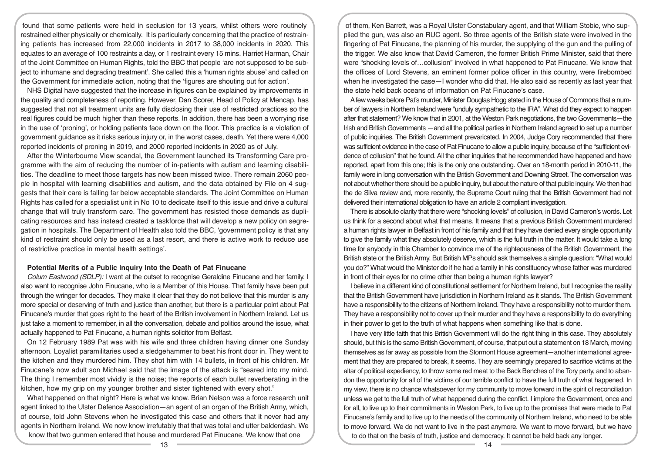found that some patients were held in seclusion for 13 years, whilst others were routinely restrained either physically or chemically. It is particularly concerning that the practice of restraining patients has increased from 22,000 incidents in 2017 to 38,000 incidents in 2020. This equates to an average of 100 restraints a day, or 1 restraint every 15 mins. Harriet Harman, Chair of the Joint Committee on Human Rights, told the BBC that people 'are not supposed to be subject to inhumane and degrading treatment'. She called this a 'human rights abuse' and called on the Government for immediate action, noting that the 'figures are shouting out for action'.

NHS Digital have suggested that the increase in figures can be explained by improvements in the quality and completeness of reporting. However, Dan Scorer, Head of Policy at Mencap, has suggested that not all treatment units are fully disclosing their use of restricted practices so the real figures could be much higher than these reports. In addition, there has been a worrying rise in the use of 'proning', or holding patients face down on the floor. This practice is a violation of government guidance as it risks serious injury or, in the worst cases, death. Yet there were 4,000 reported incidents of proning in 2019, and 2000 reported incidents in 2020 as of July.

After the Winterbourne View scandal, the Government launched its Transforming Care programme with the aim of reducing the number of in-patients with autism and learning disabilities. The deadline to meet those targets has now been missed twice. There remain 2060 people in hospital with learning disabilities and autism, and the data obtained by File on 4 suggests that their care is falling far below acceptable standards. The Joint Committee on Human Rights has called for a specialist unit in No 10 to dedicate itself to this issue and drive a cultural change that will truly transform care. The government has resisted those demands as duplicating resources and has instead created a taskforce that will develop a new policy on segregation in hospitals. The Department of Health also told the BBC, 'government policy is that any kind of restraint should only be used as a last resort, and there is active work to reduce use of restrictive practice in mental health settings'.

## **Potential Merits of a Public Inquiry Into the Death of Pat Finucane**

*Colum Eastwood (SDLP):* I want at the outset to recognise Geraldine Finucane and her family. I also want to recognise John Finucane, who is a Member of this House. That family have been put through the wringer for decades. They make it clear that they do not believe that this murder is any more special or deserving of truth and justice than another, but there is a particular point about Pat Finucane's murder that goes right to the heart of the British involvement in Northern Ireland. Let us just take a moment to remember, in all the conversation, debate and politics around the issue, what actually happened to Pat Finucane, a human rights solicitor from Belfast.

On 12 February 1989 Pat was with his wife and three children having dinner one Sunday afternoon. Loyalist paramilitaries used a sledgehammer to beat his front door in. They went to the kitchen and they murdered him. They shot him with 14 bullets, in front of his children. Mr Finucane's now adult son Michael said that the image of the attack is "seared into my mind. The thing I remember most vividly is the noise; the reports of each bullet reverberating in the kitchen, how my grip on my younger brother and sister tightened with every shot."

What happened on that night? Here is what we know. Brian Nelson was a force research unit agent linked to the Ulster Defence Association—an agent of an organ of the British Army, which, of course, told John Stevens when he investigated this case and others that it never had any agents in Northern Ireland. We now know irrefutably that that was total and utter balderdash. We know that two gunmen entered that house and murdered Pat Finucane. We know that one

of them, Ken Barrett, was a Royal Ulster Constabulary agent, and that William Stobie, who supplied the gun, was also an RUC agent. So three agents of the British state were involved in the fingering of Pat Finucane, the planning of his murder, the supplying of the gun and the pulling of the trigger.We also know that David Cameron, the former British Prime Minister, said that there were "shocking levels of…collusion" involved in what happened to Pat Finucane. We know that the offices of Lord Stevens, an eminent former police officer in this country, were firebombed when he investigated the case—I wonder who did that. He also said as recently as last year that the state held back oceans of information on Pat Finucane's case.

A few weeks before Pat's murder, Minister Douglas Hogg stated in the House of Commons that a number of lawyers in Northern Ireland were "unduly sympathetic to the IRA". What did they expect to happen after that statement? We know that in 2001, at the Weston Park negotiations, the two Governments—the Irish and British Governments —and all the political parties in Northern Ireland agreed to set up a number of public inquiries. The British Government prevaricated. In 2004, Judge Cory recommended that there was sufficient evidence in the case of Pat Finucane to allow a public inquiry, because of the "sufficient evidence of collusion" that he found. All the other inquiries that he recommended have happened and have reported, apart from this one; this is the only one outstanding. Over an 18-month period in 2010-11, the family were in long conversation with the British Government and Downing Street. The conversation was not about whether there should be a public inquiry, but about the nature of that public inquiry. We then had the de Silva review and, more recently, the Supreme Court ruling that the British Government had not delivered their international obligation to have an article 2 compliant investigation.

There is absolute clarity that there were "shocking levels" of collusion, in David Cameron's words. Let us think for a second about what that means. It means that a previous British Government murdered a human rights lawyer in Belfast in front of his family and that they have denied every single opportunity to give the family what they absolutely deserve, which is the full truth in the matter. It would take a long time for anybody in this Chamber to convince me of the righteousness of the British Government, the British state or the British Army. But British MPs should ask themselves a simple question: "What would you do?" What would the Minister do if he had a family in his constituency whose father was murdered in front of their eyes for no crime other than being a human rights lawyer?

I believe in a different kind of constitutional settlement for Northern Ireland, but I recognise the reality that the British Government have jurisdiction in Northern Ireland as it stands. The British Government have a responsibility to the citizens of Northern Ireland. They have a responsibility not to murder them. They have a responsibility not to cover up their murder and they have a responsibility to do everything in their power to get to the truth of what happens when something like that is done.

I have very little faith that this British Government will do the right thing in this case. They absolutely should, but this is the same British Government, of course, that put out a statement on 18 March, moving themselves as far away as possible from the Stormont House agreement—another international agreement that they are prepared to break, it seems. They are seemingly prepared to sacrifice victims at the altar of political expediency, to throw some red meat to the Back Benches of the Tory party, and to abandon the opportunity for all of the victims of our terrible conflict to have the full truth of what happened. In my view, there is no chance whatsoever for my community to move forward in the spirit of reconciliation unless we get to the full truth of what happened during the conflict. I implore the Government, once and for all, to live up to their commitments in Weston Park, to live up to the promises that were made to Pat Finucane's family and to live up to the needs of the community of Northern Ireland, who need to be able to move forward. We do not want to live in the past anymore. We want to move forward, but we have to do that on the basis of truth, justice and democracy. It cannot be held back any longer.